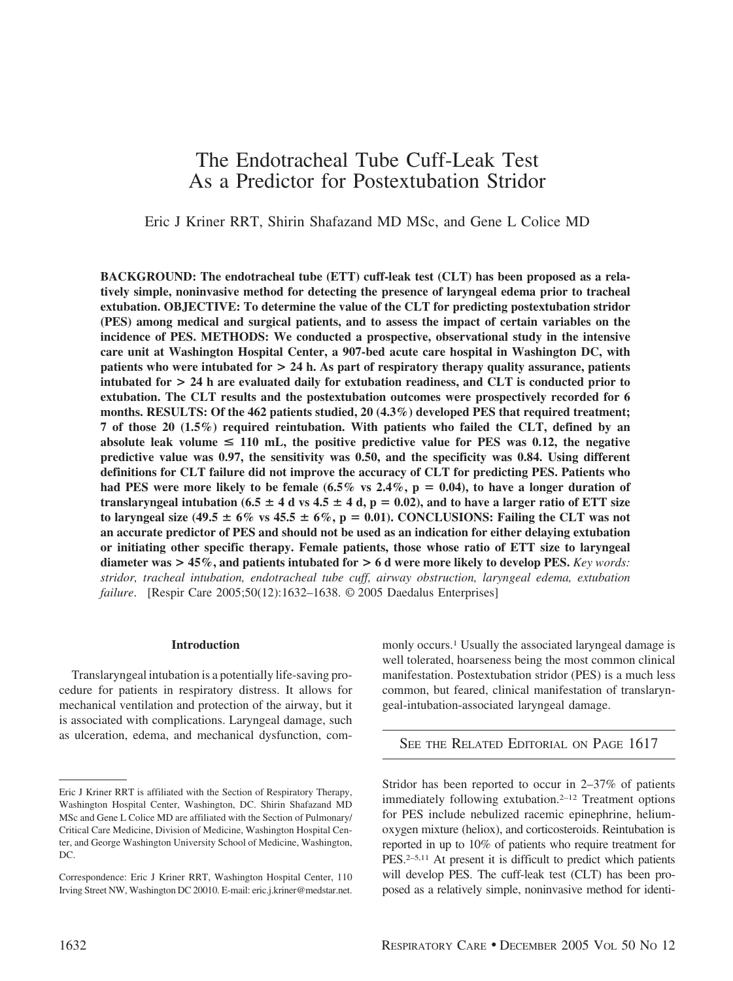# The Endotracheal Tube Cuff-Leak Test As a Predictor for Postextubation Stridor

Eric J Kriner RRT, Shirin Shafazand MD MSc, and Gene L Colice MD

**BACKGROUND: The endotracheal tube (ETT) cuff-leak test (CLT) has been proposed as a relatively simple, noninvasive method for detecting the presence of laryngeal edema prior to tracheal extubation. OBJECTIVE: To determine the value of the CLT for predicting postextubation stridor (PES) among medical and surgical patients, and to assess the impact of certain variables on the incidence of PES. METHODS: We conducted a prospective, observational study in the intensive care unit at Washington Hospital Center, a 907-bed acute care hospital in Washington DC, with patients who were intubated for > 24 h. As part of respiratory therapy quality assurance, patients intubated for > 24 h are evaluated daily for extubation readiness, and CLT is conducted prior to extubation. The CLT results and the postextubation outcomes were prospectively recorded for 6 months. RESULTS: Of the 462 patients studied, 20 (4.3%) developed PES that required treatment; 7 of those 20 (1.5%) required reintubation. With patients who failed the CLT, defined by an** absolute leak volume  $\leq 110$  mL, the positive predictive value for PES was 0.12, the negative **predictive value was 0.97, the sensitivity was 0.50, and the specificity was 0.84. Using different definitions for CLT failure did not improve the accuracy of CLT for predicting PES. Patients who** had PES were more likely to be female  $(6.5\% \text{ vs } 2.4\%, \text{p} = 0.04)$ , to have a longer duration of translaryngeal intubation (6.5  $\pm$  4 d vs 4.5  $\pm$  4 d, p = 0.02), and to have a larger ratio of ETT size to laryngeal size  $(49.5 \pm 6\% \text{ vs } 45.5 \pm 6\%, p = 0.01)$ . CONCLUSIONS: Failing the CLT was not **an accurate predictor of PES and should not be used as an indication for either delaying extubation or initiating other specific therapy. Female patients, those whose ratio of ETT size to laryngeal diameter was > 45%, and patients intubated for > 6 d were more likely to develop PES.** *Key words: stridor, tracheal intubation, endotracheal tube cuff, airway obstruction, laryngeal edema, extubation failure*. [Respir Care 2005;50(12):1632–1638. © 2005 Daedalus Enterprises]

# **Introduction**

Translaryngeal intubation is a potentially life-saving procedure for patients in respiratory distress. It allows for mechanical ventilation and protection of the airway, but it is associated with complications. Laryngeal damage, such as ulceration, edema, and mechanical dysfunction, commonly occurs.<sup>1</sup> Usually the associated laryngeal damage is well tolerated, hoarseness being the most common clinical manifestation. Postextubation stridor (PES) is a much less common, but feared, clinical manifestation of translaryngeal-intubation-associated laryngeal damage.

SEE THE RELATED EDITORIAL ON PAGE 1617

Stridor has been reported to occur in 2–37% of patients immediately following extubation.2–12 Treatment options for PES include nebulized racemic epinephrine, heliumoxygen mixture (heliox), and corticosteroids. Reintubation is reported in up to 10% of patients who require treatment for PES.2–5,11 At present it is difficult to predict which patients will develop PES. The cuff-leak test (CLT) has been proposed as a relatively simple, noninvasive method for identi-

Eric J Kriner RRT is affiliated with the Section of Respiratory Therapy, Washington Hospital Center, Washington, DC. Shirin Shafazand MD MSc and Gene L Colice MD are affiliated with the Section of Pulmonary/ Critical Care Medicine, Division of Medicine, Washington Hospital Center, and George Washington University School of Medicine, Washington, DC.

Correspondence: Eric J Kriner RRT, Washington Hospital Center, 110 Irving Street NW, Washington DC 20010. E-mail: eric.j.kriner@medstar.net.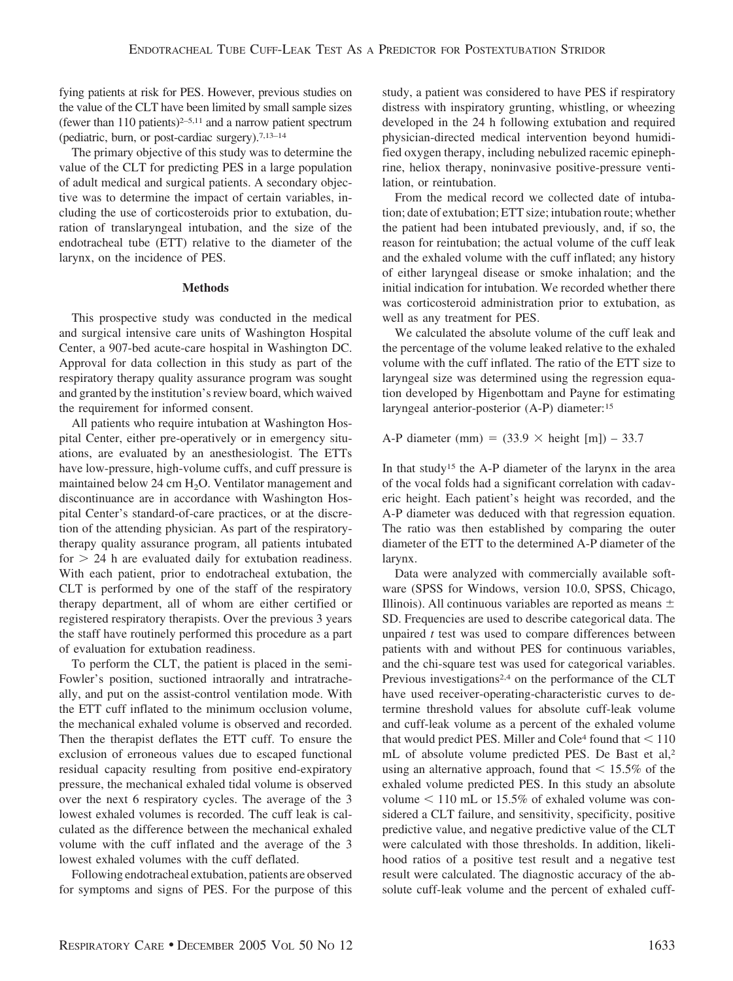fying patients at risk for PES. However, previous studies on the value of the CLT have been limited by small sample sizes (fewer than  $110$  patients)<sup>2-5,11</sup> and a narrow patient spectrum (pediatric, burn, or post-cardiac surgery).7,13–14

The primary objective of this study was to determine the value of the CLT for predicting PES in a large population of adult medical and surgical patients. A secondary objective was to determine the impact of certain variables, including the use of corticosteroids prior to extubation, duration of translaryngeal intubation, and the size of the endotracheal tube (ETT) relative to the diameter of the larynx, on the incidence of PES.

# **Methods**

This prospective study was conducted in the medical and surgical intensive care units of Washington Hospital Center, a 907-bed acute-care hospital in Washington DC. Approval for data collection in this study as part of the respiratory therapy quality assurance program was sought and granted by the institution's review board, which waived the requirement for informed consent.

All patients who require intubation at Washington Hospital Center, either pre-operatively or in emergency situations, are evaluated by an anesthesiologist. The ETTs have low-pressure, high-volume cuffs, and cuff pressure is maintained below 24 cm  $H_2O$ . Ventilator management and discontinuance are in accordance with Washington Hospital Center's standard-of-care practices, or at the discretion of the attending physician. As part of the respiratorytherapy quality assurance program, all patients intubated for  $> 24$  h are evaluated daily for extubation readiness. With each patient, prior to endotracheal extubation, the CLT is performed by one of the staff of the respiratory therapy department, all of whom are either certified or registered respiratory therapists. Over the previous 3 years the staff have routinely performed this procedure as a part of evaluation for extubation readiness.

To perform the CLT, the patient is placed in the semi-Fowler's position, suctioned intraorally and intratracheally, and put on the assist-control ventilation mode. With the ETT cuff inflated to the minimum occlusion volume, the mechanical exhaled volume is observed and recorded. Then the therapist deflates the ETT cuff. To ensure the exclusion of erroneous values due to escaped functional residual capacity resulting from positive end-expiratory pressure, the mechanical exhaled tidal volume is observed over the next 6 respiratory cycles. The average of the 3 lowest exhaled volumes is recorded. The cuff leak is calculated as the difference between the mechanical exhaled volume with the cuff inflated and the average of the 3 lowest exhaled volumes with the cuff deflated.

Following endotracheal extubation, patients are observed for symptoms and signs of PES. For the purpose of this study, a patient was considered to have PES if respiratory distress with inspiratory grunting, whistling, or wheezing developed in the 24 h following extubation and required physician-directed medical intervention beyond humidified oxygen therapy, including nebulized racemic epinephrine, heliox therapy, noninvasive positive-pressure ventilation, or reintubation.

From the medical record we collected date of intubation; date of extubation; ETT size; intubation route; whether the patient had been intubated previously, and, if so, the reason for reintubation; the actual volume of the cuff leak and the exhaled volume with the cuff inflated; any history of either laryngeal disease or smoke inhalation; and the initial indication for intubation. We recorded whether there was corticosteroid administration prior to extubation, as well as any treatment for PES.

We calculated the absolute volume of the cuff leak and the percentage of the volume leaked relative to the exhaled volume with the cuff inflated. The ratio of the ETT size to laryngeal size was determined using the regression equation developed by Higenbottam and Payne for estimating laryngeal anterior-posterior (A-P) diameter:15

A-P diameter (mm) =  $(33.9 \times \text{height [m]}) - 33.7$ 

In that study15 the A-P diameter of the larynx in the area of the vocal folds had a significant correlation with cadaveric height. Each patient's height was recorded, and the A-P diameter was deduced with that regression equation. The ratio was then established by comparing the outer diameter of the ETT to the determined A-P diameter of the larynx.

Data were analyzed with commercially available software (SPSS for Windows, version 10.0, SPSS, Chicago, Illinois). All continuous variables are reported as means  $\pm$ SD. Frequencies are used to describe categorical data. The unpaired *t* test was used to compare differences between patients with and without PES for continuous variables, and the chi-square test was used for categorical variables. Previous investigations<sup>2,4</sup> on the performance of the CLT have used receiver-operating-characteristic curves to determine threshold values for absolute cuff-leak volume and cuff-leak volume as a percent of the exhaled volume that would predict PES. Miller and Cole<sup>4</sup> found that  $\leq 110$ mL of absolute volume predicted PES. De Bast et al,2 using an alternative approach, found that  $\leq 15.5\%$  of the exhaled volume predicted PES. In this study an absolute volume  $\lt$  110 mL or 15.5% of exhaled volume was considered a CLT failure, and sensitivity, specificity, positive predictive value, and negative predictive value of the CLT were calculated with those thresholds. In addition, likelihood ratios of a positive test result and a negative test result were calculated. The diagnostic accuracy of the absolute cuff-leak volume and the percent of exhaled cuff-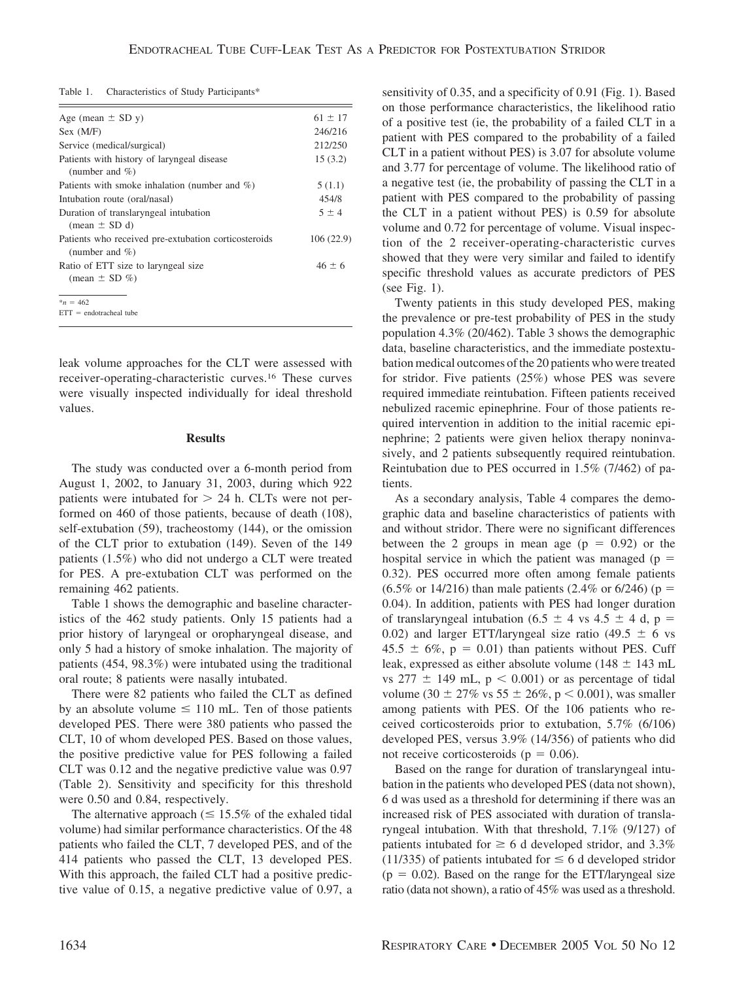| Table 1. | Characteristics of Study Participants* |  |  |
|----------|----------------------------------------|--|--|
|          |                                        |  |  |

| Age (mean $\pm$ SD y)                                                      | $61 \pm 17$ |
|----------------------------------------------------------------------------|-------------|
| Sex (M/F)                                                                  | 246/216     |
| Service (medical/surgical)                                                 | 212/250     |
| Patients with history of laryngeal disease<br>(number and $\%$ )           | 15(3.2)     |
| Patients with smoke inhalation (number and $\%$ )                          | 5(1.1)      |
| Intubation route (oral/nasal)                                              | 454/8       |
| Duration of translaryngeal intubation<br>$mean \pm SD d$                   | $5 \pm 4$   |
| Patients who received pre-extubation corticosteroids<br>(number and $\%$ ) | 106(22.9)   |
| Ratio of ETT size to laryngeal size                                        | $46 \pm 6$  |
| (mean $\pm$ SD %)                                                          |             |
| $n = 462$                                                                  |             |
| $ETT = endotracheal tube$                                                  |             |

leak volume approaches for the CLT were assessed with receiver-operating-characteristic curves.16 These curves were visually inspected individually for ideal threshold values.

## **Results**

The study was conducted over a 6-month period from August 1, 2002, to January 31, 2003, during which 922 patients were intubated for  $> 24$  h. CLTs were not performed on 460 of those patients, because of death (108), self-extubation (59), tracheostomy (144), or the omission of the CLT prior to extubation (149). Seven of the 149 patients (1.5%) who did not undergo a CLT were treated for PES. A pre-extubation CLT was performed on the remaining 462 patients.

Table 1 shows the demographic and baseline characteristics of the 462 study patients. Only 15 patients had a prior history of laryngeal or oropharyngeal disease, and only 5 had a history of smoke inhalation. The majority of patients (454, 98.3%) were intubated using the traditional oral route; 8 patients were nasally intubated.

There were 82 patients who failed the CLT as defined by an absolute volume  $\leq 110$  mL. Ten of those patients developed PES. There were 380 patients who passed the CLT, 10 of whom developed PES. Based on those values, the positive predictive value for PES following a failed CLT was 0.12 and the negative predictive value was 0.97 (Table 2). Sensitivity and specificity for this threshold were 0.50 and 0.84, respectively.

The alternative approach ( $\leq 15.5\%$  of the exhaled tidal volume) had similar performance characteristics. Of the 48 patients who failed the CLT, 7 developed PES, and of the 414 patients who passed the CLT, 13 developed PES. With this approach, the failed CLT had a positive predictive value of 0.15, a negative predictive value of 0.97, a sensitivity of 0.35, and a specificity of 0.91 (Fig. 1). Based on those performance characteristics, the likelihood ratio of a positive test (ie, the probability of a failed CLT in a patient with PES compared to the probability of a failed CLT in a patient without PES) is 3.07 for absolute volume and 3.77 for percentage of volume. The likelihood ratio of a negative test (ie, the probability of passing the CLT in a patient with PES compared to the probability of passing the CLT in a patient without PES) is 0.59 for absolute volume and 0.72 for percentage of volume. Visual inspection of the 2 receiver-operating-characteristic curves showed that they were very similar and failed to identify specific threshold values as accurate predictors of PES (see Fig. 1).

Twenty patients in this study developed PES, making the prevalence or pre-test probability of PES in the study population 4.3% (20/462). Table 3 shows the demographic data, baseline characteristics, and the immediate postextubation medical outcomes of the 20 patients who were treated for stridor. Five patients (25%) whose PES was severe required immediate reintubation. Fifteen patients received nebulized racemic epinephrine. Four of those patients required intervention in addition to the initial racemic epinephrine; 2 patients were given heliox therapy noninvasively, and 2 patients subsequently required reintubation. Reintubation due to PES occurred in 1.5% (7/462) of patients.

As a secondary analysis, Table 4 compares the demographic data and baseline characteristics of patients with and without stridor. There were no significant differences between the 2 groups in mean age  $(p = 0.92)$  or the hospital service in which the patient was managed ( $p =$ 0.32). PES occurred more often among female patients  $(6.5\% \text{ or } 14/216)$  than male patients  $(2.4\% \text{ or } 6/246)$  (p = 0.04). In addition, patients with PES had longer duration of translaryngeal intubation (6.5  $\pm$  4 vs 4.5  $\pm$  4 d, p = 0.02) and larger ETT/laryngeal size ratio (49.5  $\pm$  6 vs  $45.5 \pm 6\%, p = 0.01$ ) than patients without PES. Cuff leak, expressed as either absolute volume ( $148 \pm 143$  mL vs  $277 \pm 149$  mL, p < 0.001) or as percentage of tidal volume (30  $\pm$  27% vs 55  $\pm$  26%, p < 0.001), was smaller among patients with PES. Of the 106 patients who received corticosteroids prior to extubation, 5.7% (6/106) developed PES, versus 3.9% (14/356) of patients who did not receive corticosteroids ( $p = 0.06$ ).

Based on the range for duration of translaryngeal intubation in the patients who developed PES (data not shown), 6 d was used as a threshold for determining if there was an increased risk of PES associated with duration of translaryngeal intubation. With that threshold, 7.1% (9/127) of patients intubated for  $\geq 6$  d developed stridor, and 3.3% (11/335) of patients intubated for  $\leq 6$  d developed stridor  $(p = 0.02)$ . Based on the range for the ETT/laryngeal size ratio (data not shown), a ratio of 45% was used as a threshold.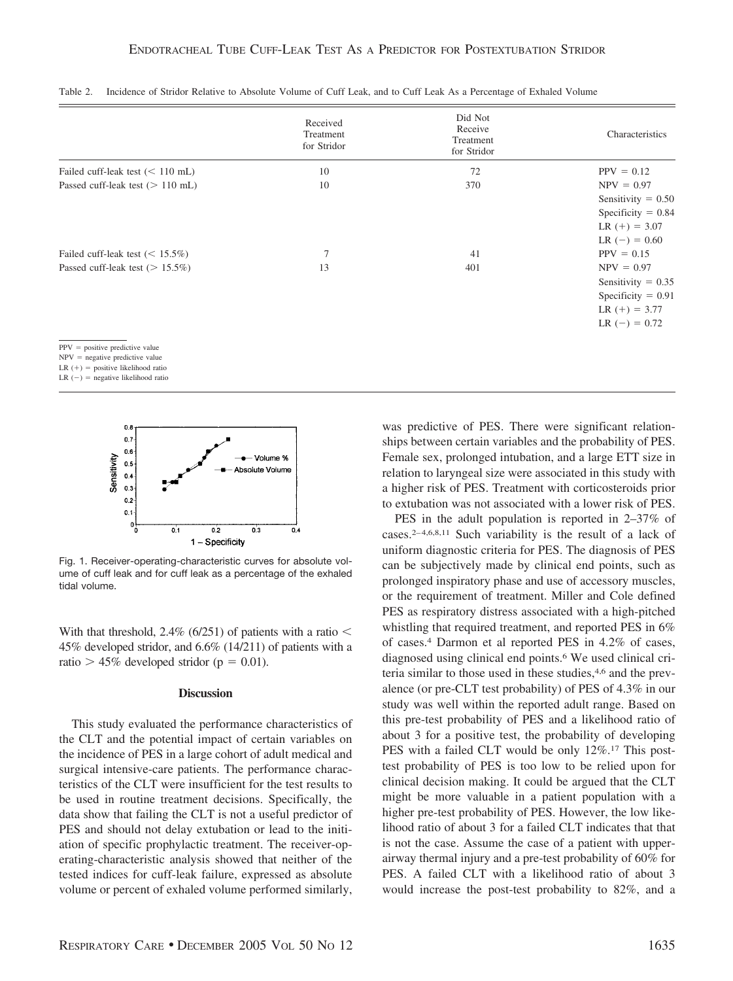|                                     | Received<br>Treatment<br>for Stridor | Did Not<br>Receive<br>Treatment<br>for Stridor | Characteristics                                                                                    |
|-------------------------------------|--------------------------------------|------------------------------------------------|----------------------------------------------------------------------------------------------------|
| Failed cuff-leak test $(< 110$ mL)  | 10                                   | 72                                             | $PPV = 0.12$                                                                                       |
| Passed cuff-leak test ( $> 110$ mL) | 10                                   | 370                                            | $NPV = 0.97$<br>Sensitivity = $0.50$<br>Specificity $= 0.84$<br>LR $(+) = 3.07$<br>LR $(-) = 0.60$ |
| Failed cuff-leak test ( $<$ 15.5%)  | 7                                    | 41                                             | $PPV = 0.15$                                                                                       |
| Passed cuff-leak test ( $> 15.5\%)$ | 13                                   | 401                                            | $NPV = 0.97$<br>Sensitivity = $0.35$<br>Specificity = $0.91$<br>$LR (+) = 3.77$<br>$LR (-) = 0.72$ |
| $PPV = positive$ predictive value   |                                      |                                                |                                                                                                    |

|  | Table 2. Incidence of Stridor Relative to Absolute Volume of Cuff Leak, and to Cuff Leak As a Percentage of Exhaled Volume |  |  |  |  |
|--|----------------------------------------------------------------------------------------------------------------------------|--|--|--|--|
|--|----------------------------------------------------------------------------------------------------------------------------|--|--|--|--|

 $NPV$  = negative predictive value

 $LR (+) = positive likelihood ratio$ 

 $LR$  (-) = negative likelihood ratio



Fig. 1. Receiver-operating-characteristic curves for absolute volume of cuff leak and for cuff leak as a percentage of the exhaled tidal volume.

With that threshold, 2.4% (6/251) of patients with a ratio  $\leq$ 45% developed stridor, and 6.6% (14/211) of patients with a ratio  $> 45\%$  developed stridor ( $p = 0.01$ ).

# **Discussion**

This study evaluated the performance characteristics of the CLT and the potential impact of certain variables on the incidence of PES in a large cohort of adult medical and surgical intensive-care patients. The performance characteristics of the CLT were insufficient for the test results to be used in routine treatment decisions. Specifically, the data show that failing the CLT is not a useful predictor of PES and should not delay extubation or lead to the initiation of specific prophylactic treatment. The receiver-operating-characteristic analysis showed that neither of the tested indices for cuff-leak failure, expressed as absolute volume or percent of exhaled volume performed similarly,

was predictive of PES. There were significant relationships between certain variables and the probability of PES. Female sex, prolonged intubation, and a large ETT size in relation to laryngeal size were associated in this study with a higher risk of PES. Treatment with corticosteroids prior to extubation was not associated with a lower risk of PES.

PES in the adult population is reported in 2–37% of cases.<sup>2-4,6,8,11</sup> Such variability is the result of a lack of uniform diagnostic criteria for PES. The diagnosis of PES can be subjectively made by clinical end points, such as prolonged inspiratory phase and use of accessory muscles, or the requirement of treatment. Miller and Cole defined PES as respiratory distress associated with a high-pitched whistling that required treatment, and reported PES in 6% of cases.4 Darmon et al reported PES in 4.2% of cases, diagnosed using clinical end points.6 We used clinical criteria similar to those used in these studies,4,6 and the prevalence (or pre-CLT test probability) of PES of 4.3% in our study was well within the reported adult range. Based on this pre-test probability of PES and a likelihood ratio of about 3 for a positive test, the probability of developing PES with a failed CLT would be only  $12\%$ .<sup>17</sup> This posttest probability of PES is too low to be relied upon for clinical decision making. It could be argued that the CLT might be more valuable in a patient population with a higher pre-test probability of PES. However, the low likelihood ratio of about 3 for a failed CLT indicates that that is not the case. Assume the case of a patient with upperairway thermal injury and a pre-test probability of 60% for PES. A failed CLT with a likelihood ratio of about 3 would increase the post-test probability to 82%, and a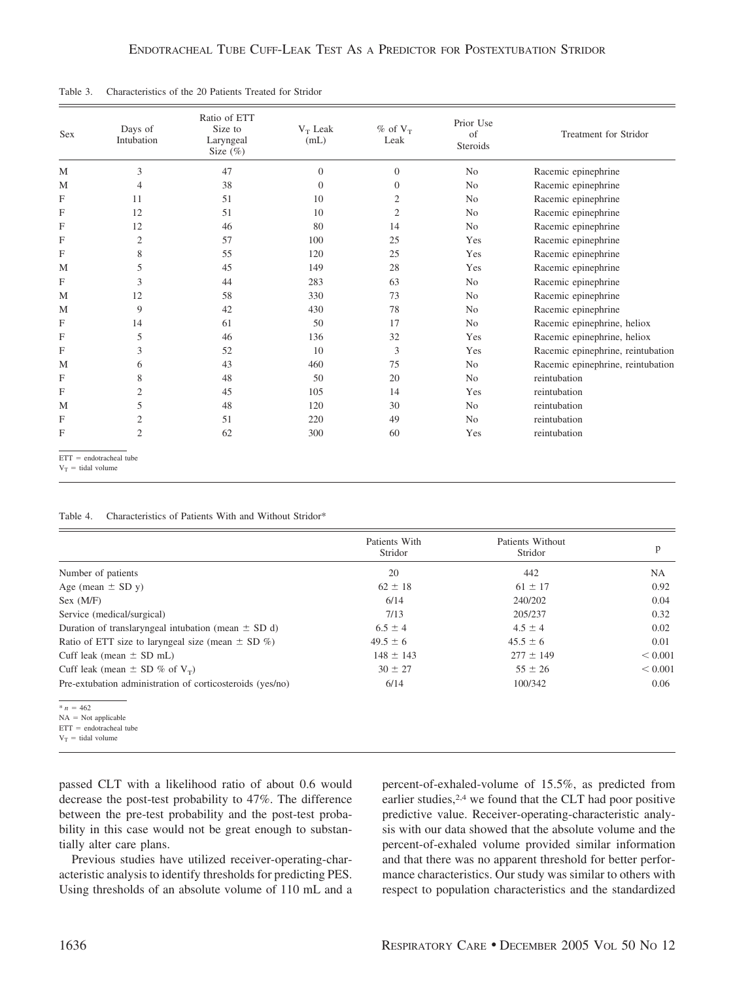| M |                | Size $(\%)$ | (mL)         | $%$ of $V_T$<br>Leak | of<br>Steroids | <b>Treatment for Stridor</b>      |
|---|----------------|-------------|--------------|----------------------|----------------|-----------------------------------|
|   | 3              | 47          | $\mathbf{0}$ | $\overline{0}$       | N <sub>0</sub> | Racemic epinephrine               |
| M | $\overline{4}$ | 38          | $\Omega$     | $\Omega$             | N <sub>o</sub> | Racemic epinephrine               |
| F | 11             | 51          | 10           | 2                    | No             | Racemic epinephrine               |
| F | 12             | 51          | 10           | $\overline{c}$       | N <sub>0</sub> | Racemic epinephrine               |
| F | 12             | 46          | 80           | 14                   | N <sub>0</sub> | Racemic epinephrine               |
| F | $\overline{2}$ | 57          | 100          | 25                   | Yes            | Racemic epinephrine               |
| F | 8              | 55          | 120          | 25                   | Yes            | Racemic epinephrine               |
| M | 5              | 45          | 149          | 28                   | Yes            | Racemic epinephrine               |
| F | 3              | 44          | 283          | 63                   | N <sub>o</sub> | Racemic epinephrine               |
| M | 12             | 58          | 330          | 73                   | N <sub>0</sub> | Racemic epinephrine               |
| M | 9              | 42          | 430          | 78                   | N <sub>o</sub> | Racemic epinephrine               |
| F | 14             | 61          | 50           | 17                   | N <sub>0</sub> | Racemic epinephrine, heliox       |
| F | 5              | 46          | 136          | 32                   | Yes            | Racemic epinephrine, heliox       |
| F | 3              | 52          | 10           | 3                    | Yes            | Racemic epinephrine, reintubation |
| M | 6              | 43          | 460          | 75                   | N <sub>o</sub> | Racemic epinephrine, reintubation |
| F | 8              | 48          | 50           | 20                   | N <sub>0</sub> | reintubation                      |
| F | 2              | 45          | 105          | 14                   | Yes            | reintubation                      |
| M | 5              | 48          | 120          | 30                   | N <sub>0</sub> | reintubation                      |
| F | $\overline{c}$ | 51          | 220          | 49                   | N <sub>o</sub> | reintubation                      |
| F | $\overline{2}$ | 62          | 300          | 60                   | Yes            | reintubation                      |

Table 3. Characteristics of the 20 Patients Treated for Stridor

 $V_T$  = tidal volume

| Table 4. | Characteristics of Patients With and Without Stridor* |  |  |  |  |
|----------|-------------------------------------------------------|--|--|--|--|
|----------|-------------------------------------------------------|--|--|--|--|

|                                                           | Patients With<br>Stridor | Patients Without<br>Stridor | p           |
|-----------------------------------------------------------|--------------------------|-----------------------------|-------------|
| Number of patients                                        | 20                       | 442                         | NA.         |
| Age (mean $\pm$ SD y)                                     | $62 \pm 18$              | $61 \pm 17$                 | 0.92        |
| Sex (M/F)                                                 | 6/14                     | 240/202                     | 0.04        |
| Service (medical/surgical)                                | 7/13                     | 205/237                     | 0.32        |
| Duration of translaryngeal intubation (mean $\pm$ SD d)   | $6.5 \pm 4$              | $4.5 \pm 4$                 | 0.02        |
| Ratio of ETT size to laryngeal size (mean $\pm$ SD %)     | $49.5 \pm 6$             | $45.5 \pm 6$                | 0.01        |
| Cuff leak (mean $\pm$ SD mL)                              | $148 \pm 143$            | $277 \pm 149$               | ${}< 0.001$ |
| Cuff leak (mean $\pm$ SD % of $V_T$ )                     | $30 \pm 27$              | $55 \pm 26$                 | ${}< 0.001$ |
| Pre-extubation administration of corticosteroids (yes/no) | 6/14                     | 100/342                     | 0.06        |
| $n = 462$                                                 |                          |                             |             |
| $NA = Not applicable$                                     |                          |                             |             |

 $ETT = endotracheal tube$ 

 $V_T$  = tidal volume

passed CLT with a likelihood ratio of about 0.6 would decrease the post-test probability to 47%. The difference between the pre-test probability and the post-test probability in this case would not be great enough to substantially alter care plans.

Previous studies have utilized receiver-operating-characteristic analysis to identify thresholds for predicting PES. Using thresholds of an absolute volume of 110 mL and a percent-of-exhaled-volume of 15.5%, as predicted from earlier studies,<sup>2,4</sup> we found that the CLT had poor positive predictive value. Receiver-operating-characteristic analysis with our data showed that the absolute volume and the percent-of-exhaled volume provided similar information and that there was no apparent threshold for better performance characteristics. Our study was similar to others with respect to population characteristics and the standardized

 $ETT =$ = endotracheal tube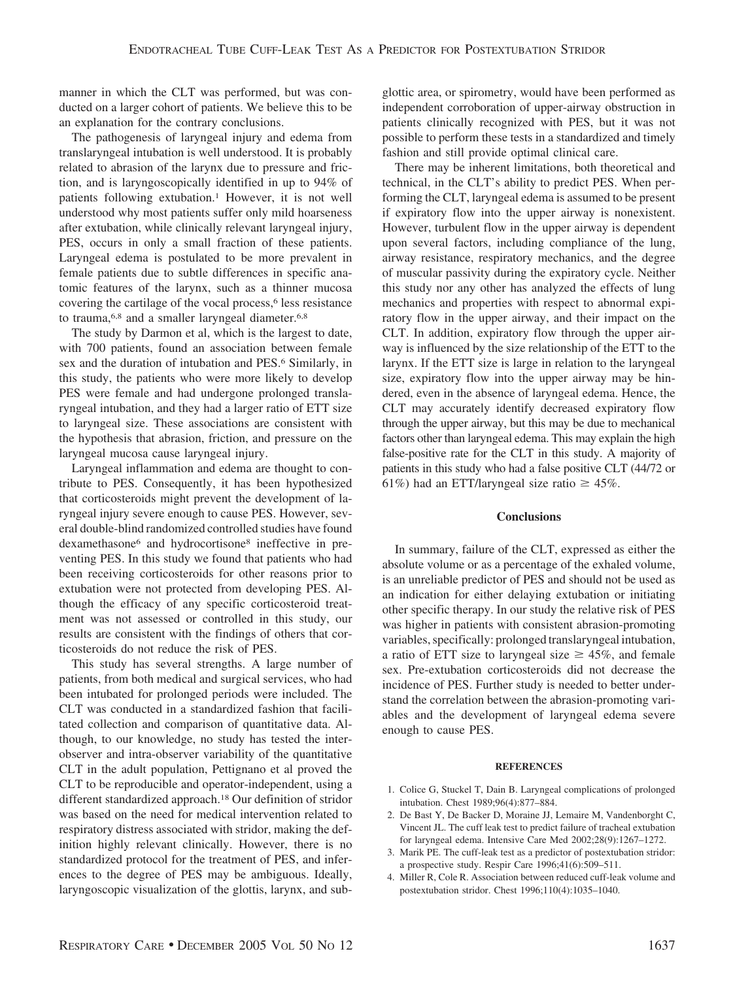manner in which the CLT was performed, but was conducted on a larger cohort of patients. We believe this to be an explanation for the contrary conclusions.

The pathogenesis of laryngeal injury and edema from translaryngeal intubation is well understood. It is probably related to abrasion of the larynx due to pressure and friction, and is laryngoscopically identified in up to 94% of patients following extubation.<sup>1</sup> However, it is not well understood why most patients suffer only mild hoarseness after extubation, while clinically relevant laryngeal injury, PES, occurs in only a small fraction of these patients. Laryngeal edema is postulated to be more prevalent in female patients due to subtle differences in specific anatomic features of the larynx, such as a thinner mucosa covering the cartilage of the vocal process,<sup>6</sup> less resistance to trauma,<sup>6,8</sup> and a smaller laryngeal diameter.<sup>6,8</sup>

The study by Darmon et al, which is the largest to date, with 700 patients, found an association between female sex and the duration of intubation and PES.<sup>6</sup> Similarly, in this study, the patients who were more likely to develop PES were female and had undergone prolonged translaryngeal intubation, and they had a larger ratio of ETT size to laryngeal size. These associations are consistent with the hypothesis that abrasion, friction, and pressure on the laryngeal mucosa cause laryngeal injury.

Laryngeal inflammation and edema are thought to contribute to PES. Consequently, it has been hypothesized that corticosteroids might prevent the development of laryngeal injury severe enough to cause PES. However, several double-blind randomized controlled studies have found dexamethasone6 and hydrocortisone8 ineffective in preventing PES. In this study we found that patients who had been receiving corticosteroids for other reasons prior to extubation were not protected from developing PES. Although the efficacy of any specific corticosteroid treatment was not assessed or controlled in this study, our results are consistent with the findings of others that corticosteroids do not reduce the risk of PES.

This study has several strengths. A large number of patients, from both medical and surgical services, who had been intubated for prolonged periods were included. The CLT was conducted in a standardized fashion that facilitated collection and comparison of quantitative data. Although, to our knowledge, no study has tested the interobserver and intra-observer variability of the quantitative CLT in the adult population, Pettignano et al proved the CLT to be reproducible and operator-independent, using a different standardized approach.18 Our definition of stridor was based on the need for medical intervention related to respiratory distress associated with stridor, making the definition highly relevant clinically. However, there is no standardized protocol for the treatment of PES, and inferences to the degree of PES may be ambiguous. Ideally, laryngoscopic visualization of the glottis, larynx, and sub-

glottic area, or spirometry, would have been performed as independent corroboration of upper-airway obstruction in patients clinically recognized with PES, but it was not possible to perform these tests in a standardized and timely fashion and still provide optimal clinical care.

There may be inherent limitations, both theoretical and technical, in the CLT's ability to predict PES. When performing the CLT, laryngeal edema is assumed to be present if expiratory flow into the upper airway is nonexistent. However, turbulent flow in the upper airway is dependent upon several factors, including compliance of the lung, airway resistance, respiratory mechanics, and the degree of muscular passivity during the expiratory cycle. Neither this study nor any other has analyzed the effects of lung mechanics and properties with respect to abnormal expiratory flow in the upper airway, and their impact on the CLT. In addition, expiratory flow through the upper airway is influenced by the size relationship of the ETT to the larynx. If the ETT size is large in relation to the laryngeal size, expiratory flow into the upper airway may be hindered, even in the absence of laryngeal edema. Hence, the CLT may accurately identify decreased expiratory flow through the upper airway, but this may be due to mechanical factors other than laryngeal edema. This may explain the high false-positive rate for the CLT in this study. A majority of patients in this study who had a false positive CLT (44/72 or 61%) had an ETT/laryngeal size ratio  $\geq 45\%$ .

## **Conclusions**

In summary, failure of the CLT, expressed as either the absolute volume or as a percentage of the exhaled volume, is an unreliable predictor of PES and should not be used as an indication for either delaying extubation or initiating other specific therapy. In our study the relative risk of PES was higher in patients with consistent abrasion-promoting variables, specifically: prolonged translaryngeal intubation, a ratio of ETT size to laryngeal size  $\geq 45\%$ , and female sex. Pre-extubation corticosteroids did not decrease the incidence of PES. Further study is needed to better understand the correlation between the abrasion-promoting variables and the development of laryngeal edema severe enough to cause PES.

## **REFERENCES**

- 1. Colice G, Stuckel T, Dain B. Laryngeal complications of prolonged intubation. Chest 1989;96(4):877–884.
- 2. De Bast Y, De Backer D, Moraine JJ, Lemaire M, Vandenborght C, Vincent JL. The cuff leak test to predict failure of tracheal extubation for laryngeal edema. Intensive Care Med 2002;28(9):1267–1272.
- 3. Marik PE. The cuff-leak test as a predictor of postextubation stridor: a prospective study. Respir Care 1996;41(6):509–511.
- 4. Miller R, Cole R. Association between reduced cuff-leak volume and postextubation stridor. Chest 1996;110(4):1035–1040.